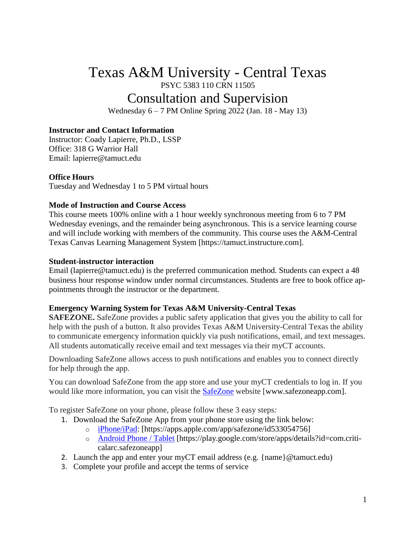# Texas A&M University - Central Texas PSYC 5383 110 CRN 11505 Consultation and Supervision

Wednesday 6 – 7 PM Online Spring 2022 (Jan. 18 - May 13)

#### **Instructor and Contact Information**

Instructor: Coady Lapierre, Ph.D., LSSP Office: 318 G Warrior Hall Email: lapierre@tamuct.edu

#### **Office Hours**

Tuesday and Wednesday 1 to 5 PM virtual hours

#### **Mode of Instruction and Course Access**

This course meets 100% online with a 1 hour weekly synchronous meeting from 6 to 7 PM Wednesday evenings, and the remainder being asynchronous. This is a service learning course and will include working with members of the community. This course uses the A&M-Central Texas Canvas Learning Management System [https://tamuct.instructure.com].

#### **Student-instructor interaction**

Email (lapierre@tamuct.edu) is the preferred communication method. Students can expect a 48 business hour response window under normal circumstances. Students are free to book office appointments through the instructor or the department.

#### **Emergency Warning System for Texas A&M University-Central Texas**

**SAFEZONE.** SafeZone provides a public safety application that gives you the ability to call for help with the push of a button. It also provides Texas A&M University-Central Texas the ability to communicate emergency information quickly via push notifications, email, and text messages. All students automatically receive email and text messages via their myCT accounts.

Downloading SafeZone allows access to push notifications and enables you to connect directly for help through the app.

You can download SafeZone from the app store and use your myCT credentials to log in. If you would like more information, you can visit the [SafeZone](http://www.safezoneapp.com/) website [www.safezoneapp.com].

To register SafeZone on your phone, please follow these 3 easy steps*:*

- 1. Download the SafeZone App from your phone store using the link below:
	- o [iPhone/iPad:](https://apps.apple.com/app/safezone/id533054756) [https://apps.apple.com/app/safezone/id533054756]
	- o [Android Phone / Tablet](https://play.google.com/store/apps/details?id=com.criticalarc.safezoneapp) [https://play.google.com/store/apps/details?id=com.criticalarc.safezoneapp]
- 2. Launch the app and enter your myCT email address (e.g. {name}  $@t$ amuct.edu)
- 3. Complete your profile and accept the terms of service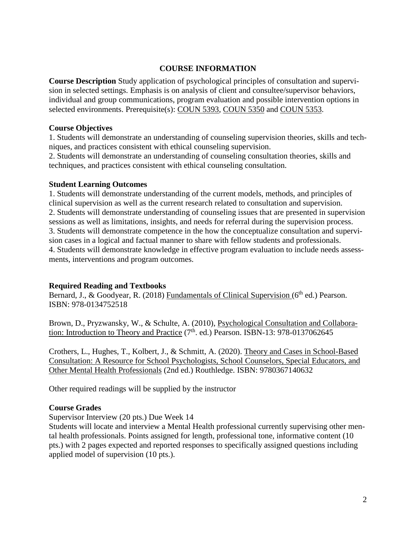#### **COURSE INFORMATION**

**Course Description** Study application of psychological principles of consultation and supervision in selected settings. Emphasis is on analysis of client and consultee/supervisor behaviors, individual and group communications, program evaluation and possible intervention options in selected environments. Prerequisite(s): [COUN](http://catalog.tamuct.edu/search/?P=COUN%205393) 5393, [COUN](http://catalog.tamuct.edu/search/?P=COUN%205350) 5350 and [COUN](http://catalog.tamuct.edu/search/?P=COUN%205353) 5353.

#### **Course Objectives**

1. Students will demonstrate an understanding of counseling supervision theories, skills and techniques, and practices consistent with ethical counseling supervision.

2. Students will demonstrate an understanding of counseling consultation theories, skills and techniques, and practices consistent with ethical counseling consultation.

#### **Student Learning Outcomes**

1. Students will demonstrate understanding of the current models, methods, and principles of clinical supervision as well as the current research related to consultation and supervision. 2. Students will demonstrate understanding of counseling issues that are presented in supervision sessions as well as limitations, insights, and needs for referral during the supervision process. 3. Students will demonstrate competence in the how the conceptualize consultation and supervision cases in a logical and factual manner to share with fellow students and professionals. 4. Students will demonstrate knowledge in effective program evaluation to include needs assessments, interventions and program outcomes.

## **Required Reading and Textbooks**

Bernard, J., & Goodyear, R. (2018) Fundamentals of Clinical Supervision ( $6<sup>th</sup>$  ed.) Pearson. ISBN: 978-0134752518

Brown, D., Pryzwansky, W., & Schulte, A. (2010), Psychological Consultation and Collaboration: Introduction to Theory and Practice (7<sup>th</sup>. ed.) Pearson. ISBN-13: 978-0137062645

Crothers, L., Hughes, T., Kolbert, J., & Schmitt, A. (2020). Theory and Cases in School-Based Consultation: A Resource for School Psychologists, School Counselors, Special Educators, and Other Mental Health Professionals (2nd ed.) Routhledge. ISBN: 9780367140632

Other required readings will be supplied by the instructor

## **Course Grades**

Supervisor Interview (20 pts.) Due Week 14

Students will locate and interview a Mental Health professional currently supervising other mental health professionals. Points assigned for length, professional tone, informative content (10 pts.) with 2 pages expected and reported responses to specifically assigned questions including applied model of supervision (10 pts.).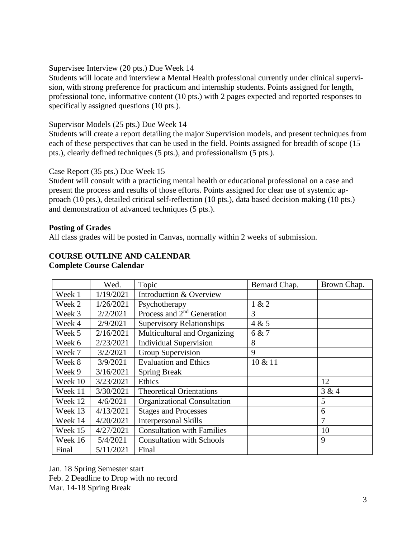Supervisee Interview (20 pts.) Due Week 14

Students will locate and interview a Mental Health professional currently under clinical supervision, with strong preference for practicum and internship students. Points assigned for length, professional tone, informative content (10 pts.) with 2 pages expected and reported responses to specifically assigned questions (10 pts.).

## Supervisor Models (25 pts.) Due Week 14

Students will create a report detailing the major Supervision models, and present techniques from each of these perspectives that can be used in the field. Points assigned for breadth of scope (15 pts.), clearly defined techniques (5 pts.), and professionalism (5 pts.).

## Case Report (35 pts.) Due Week 15

Student will consult with a practicing mental health or educational professional on a case and present the process and results of those efforts. Points assigned for clear use of systemic approach (10 pts.), detailed critical self-reflection (10 pts.), data based decision making (10 pts.) and demonstration of advanced techniques (5 pts.).

#### **Posting of Grades**

All class grades will be posted in Canvas, normally within 2 weeks of submission.

#### **COURSE OUTLINE AND CALENDAR Complete Course Calendar**

|         | Wed.      | Topic                              | Bernard Chap. | Brown Chap. |
|---------|-----------|------------------------------------|---------------|-------------|
| Week 1  | 1/19/2021 | Introduction & Overview            |               |             |
| Week 2  | 1/26/2021 | Psychotherapy                      | 1 & 2         |             |
| Week 3  | 2/2/2021  | Process and $2nd$ Generation       | 3             |             |
| Week 4  | 2/9/2021  | <b>Supervisory Relationships</b>   | 4 & 5         |             |
| Week 5  | 2/16/2021 | Multicultural and Organizing       | 6 & 7         |             |
| Week 6  | 2/23/2021 | <b>Individual Supervision</b>      | 8             |             |
| Week 7  | 3/2/2021  | Group Supervision                  | 9             |             |
| Week 8  | 3/9/2021  | <b>Evaluation and Ethics</b>       | 10 & 11       |             |
| Week 9  | 3/16/2021 | <b>Spring Break</b>                |               |             |
| Week 10 | 3/23/2021 | Ethics                             |               | 12          |
| Week 11 | 3/30/2021 | <b>Theoretical Orientations</b>    |               | 3 & 4       |
| Week 12 | 4/6/2021  | <b>Organizational Consultation</b> |               | 5           |
| Week 13 | 4/13/2021 | <b>Stages and Processes</b>        |               | 6           |
| Week 14 | 4/20/2021 | <b>Interpersonal Skills</b>        |               | 7           |
| Week 15 | 4/27/2021 | <b>Consultation with Families</b>  |               | 10          |
| Week 16 | 5/4/2021  | <b>Consultation with Schools</b>   |               | 9           |
| Final   | 5/11/2021 | Final                              |               |             |

Jan. 18 Spring Semester start Feb. 2 Deadline to Drop with no record Mar. 14-18 Spring Break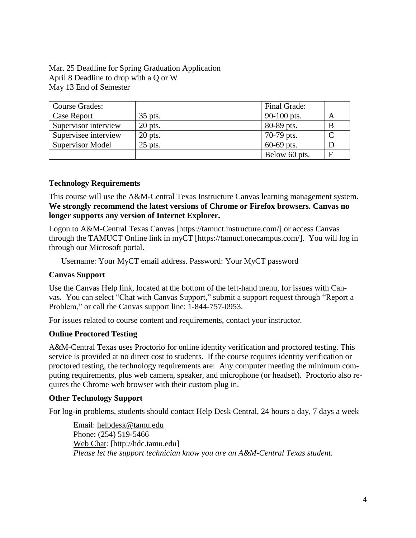Mar. 25 Deadline for Spring Graduation Application April 8 Deadline to drop with a Q or W May 13 End of Semester

| <b>Course Grades:</b> |           | Final Grade:  |   |
|-----------------------|-----------|---------------|---|
| Case Report           | 35 pts.   | 90-100 pts.   | A |
| Supervisor interview  | $20$ pts. | 80-89 pts.    | B |
| Supervisee interview  | $20$ pts. | 70-79 pts.    |   |
| Supervisor Model      | $25$ pts. | $60-69$ pts.  |   |
|                       |           | Below 60 pts. | F |

## **Technology Requirements**

This course will use the A&M-Central Texas Instructure Canvas learning management system. **We strongly recommend the latest versions of Chrome or Firefox browsers. Canvas no longer supports any version of Internet Explorer.**

Logon to A&M-Central Texas Canvas [https://tamuct.instructure.com/] or access Canvas through the TAMUCT Online link in myCT [https://tamuct.onecampus.com/]. You will log in through our Microsoft portal.

Username: Your MyCT email address. Password: Your MyCT password

#### **Canvas Support**

Use the Canvas Help link, located at the bottom of the left-hand menu, for issues with Canvas. You can select "Chat with Canvas Support," submit a support request through "Report a Problem," or call the Canvas support line: 1-844-757-0953.

For issues related to course content and requirements, contact your instructor.

#### **Online Proctored Testing**

A&M-Central Texas uses Proctorio for online identity verification and proctored testing. This service is provided at no direct cost to students. If the course requires identity verification or proctored testing, the technology requirements are: Any computer meeting the minimum computing requirements, plus web camera, speaker, and microphone (or headset). Proctorio also requires the Chrome web browser with their custom plug in.

#### **Other Technology Support**

For log-in problems, students should contact Help Desk Central, 24 hours a day, 7 days a week

Email: [helpdesk@tamu.edu](mailto:helpdesk@tamu.edu) Phone: (254) 519-5466 Web [Chat:](http://hdc.tamu.edu/) [http://hdc.tamu.edu] *Please let the support technician know you are an A&M-Central Texas student.*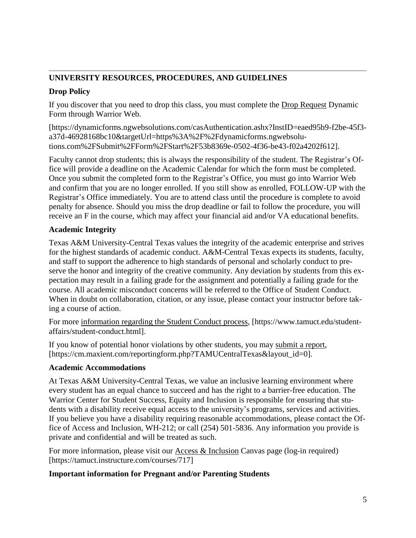# **UNIVERSITY RESOURCES, PROCEDURES, AND GUIDELINES**

## **Drop Policy**

If you discover that you need to drop this class, you must complete the Drop [Request](https://dynamicforms.ngwebsolutions.com/casAuthentication.ashx?InstID=eaed95b9-f2be-45f3-a37d-46928168bc10&targetUrl=https%3A%2F%2Fdynamicforms.ngwebsolutions.com%2FSubmit%2FForm%2FStart%2F53b8369e-0502-4f36-be43-f02a4202f612) Dynamic Form through Warrior Web.

[https://dynamicforms.ngwebsolutions.com/casAuthentication.ashx?InstID=eaed95b9-f2be-45f3 a37d-46928168bc10&targetUrl=https%3A%2F%2Fdynamicforms.ngwebsolutions.com%2FSubmit%2FForm%2FStart%2F53b8369e-0502-4f36-be43-f02a4202f612].

Faculty cannot drop students; this is always the responsibility of the student. The Registrar's Office will provide a deadline on the Academic Calendar for which the form must be completed. Once you submit the completed form to the Registrar's Office, you must go into Warrior Web and confirm that you are no longer enrolled. If you still show as enrolled, FOLLOW-UP with the Registrar's Office immediately. You are to attend class until the procedure is complete to avoid penalty for absence. Should you miss the drop deadline or fail to follow the procedure, you will receive an F in the course, which may affect your financial aid and/or VA educational benefits.

# **Academic Integrity**

Texas A&M University-Central Texas values the integrity of the academic enterprise and strives for the highest standards of academic conduct. A&M-Central Texas expects its students, faculty, and staff to support the adherence to high standards of personal and scholarly conduct to preserve the honor and integrity of the creative community. Any deviation by students from this expectation may result in a failing grade for the assignment and potentially a failing grade for the course. All academic misconduct concerns will be referred to the Office of Student Conduct. When in doubt on collaboration, citation, or any issue, please contact your instructor before taking a course of action.

For more [information](https://nam04.safelinks.protection.outlook.com/?url=https%3A%2F%2Fwww.tamuct.edu%2Fstudent-affairs%2Fstudent-conduct.html&data=04%7C01%7Clisa.bunkowski%40tamuct.edu%7Ccfb6e486f24745f53e1a08d910055cb2%7C9eed4e3000f744849ff193ad8005acec%7C0%7C0%7C637558437485252160%7CUnknown%7CTWFpbGZsb3d8eyJWIjoiMC4wLjAwMDAiLCJQIjoiV2luMzIiLCJBTiI6Ik1haWwiLCJXVCI6Mn0%3D%7C1000&sdata=yjftDEVHvLX%2FhM%2FcFU0B99krV1RgEWR%2BJ%2BhvtoR6TYk%3D&reserved=0) regarding the Student Conduct process, [https://www.tamuct.edu/studentaffairs/student-conduct.html].

If you know of potential honor violations by other students, you may [submit](https://nam04.safelinks.protection.outlook.com/?url=https%3A%2F%2Fcm.maxient.com%2Freportingform.php%3FTAMUCentralTexas%26layout_id%3D0&data=04%7C01%7Clisa.bunkowski%40tamuct.edu%7Ccfb6e486f24745f53e1a08d910055cb2%7C9eed4e3000f744849ff193ad8005acec%7C0%7C0%7C637558437485262157%7CUnknown%7CTWFpbGZsb3d8eyJWIjoiMC4wLjAwMDAiLCJQIjoiV2luMzIiLCJBTiI6Ik1haWwiLCJXVCI6Mn0%3D%7C1000&sdata=CXGkOa6uPDPX1IMZ87z3aZDq2n91xfHKu4MMS43Ejjk%3D&reserved=0) a report, [https://cm.maxient.com/reportingform.php?TAMUCentralTexas&layout\_id=0].

## **Academic Accommodations**

At Texas A&M University-Central Texas, we value an inclusive learning environment where every student has an equal chance to succeed and has the right to a barrier-free education. The Warrior Center for Student Success, Equity and Inclusion is responsible for ensuring that students with a disability receive equal access to the university's programs, services and activities. If you believe you have a disability requiring reasonable accommodations, please contact the Office of Access and Inclusion, WH-212; or call (254) 501-5836. Any information you provide is private and confidential and will be treated as such.

For more information, please visit our Access & [Inclusion](https://tamuct.instructure.com/courses/717) Canvas page (log-in required) [https://tamuct.instructure.com/courses/717]

## **Important information for Pregnant and/or Parenting Students**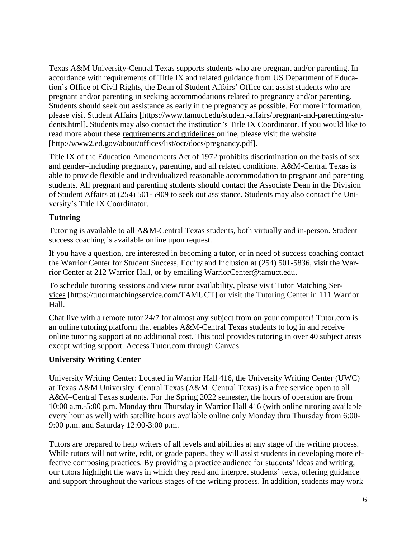Texas A&M University-Central Texas supports students who are pregnant and/or parenting. In accordance with requirements of Title IX and related guidance from US Department of Education's Office of Civil Rights, the Dean of Student Affairs' Office can assist students who are pregnant and/or parenting in seeking accommodations related to pregnancy and/or parenting. Students should seek out assistance as early in the pregnancy as possible. For more information, please visit [Student](https://www.tamuct.edu/student-affairs/pregnant-and-parenting-students.html) Affairs [https://www.tamuct.edu/student-affairs/pregnant-and-parenting-students.html]. Students may also contact the institution's Title IX Coordinator. If you would like to read more about these [requirements](http://www2.ed.gov/about/offices/list/ocr/docs/pregnancy.pdf) and guidelines online, please visit the website [http://www2.ed.gov/about/offices/list/ocr/docs/pregnancy.pdf].

Title IX of the Education Amendments Act of 1972 prohibits discrimination on the basis of sex and gender–including pregnancy, parenting, and all related conditions. A&M-Central Texas is able to provide flexible and individualized reasonable accommodation to pregnant and parenting students. All pregnant and parenting students should contact the Associate Dean in the Division of Student Affairs at (254) 501-5909 to seek out assistance. Students may also contact the University's Title IX Coordinator.

# **Tutoring**

Tutoring is available to all A&M-Central Texas students, both virtually and in-person. Student success coaching is available online upon request.

If you have a question, are interested in becoming a tutor, or in need of success coaching contact the Warrior Center for Student Success, Equity and Inclusion at (254) 501-5836, visit the Warrior Center at 212 Warrior Hall, or by emailing [WarriorCenter@tamuct.edu.](mailto:WarriorCenter@tamuct.edu)

To schedule tutoring sessions and view tutor availability, please visit Tutor [Matching](https://tutormatchingservice.com/TAMUCT) Ser[vices](https://tutormatchingservice.com/TAMUCT) [https://tutormatchingservice.com/TAMUCT] or visit the Tutoring Center in 111 Warrior Hall.

Chat live with a remote tutor 24/7 for almost any subject from on your computer! Tutor.com is an online tutoring platform that enables A&M-Central Texas students to log in and receive online tutoring support at no additional cost. This tool provides tutoring in over 40 subject areas except writing support. Access Tutor.com through Canvas.

## **University Writing Center**

University Writing Center: Located in Warrior Hall 416, the University Writing Center (UWC) at Texas A&M University–Central Texas (A&M–Central Texas) is a free service open to all A&M–Central Texas students. For the Spring 2022 semester, the hours of operation are from 10:00 a.m.-5:00 p.m. Monday thru Thursday in Warrior Hall 416 (with online tutoring available every hour as well) with satellite hours available online only Monday thru Thursday from 6:00- 9:00 p.m. and Saturday 12:00-3:00 p.m.

Tutors are prepared to help writers of all levels and abilities at any stage of the writing process. While tutors will not write, edit, or grade papers, they will assist students in developing more effective composing practices. By providing a practice audience for students' ideas and writing, our tutors highlight the ways in which they read and interpret students' texts, offering guidance and support throughout the various stages of the writing process. In addition, students may work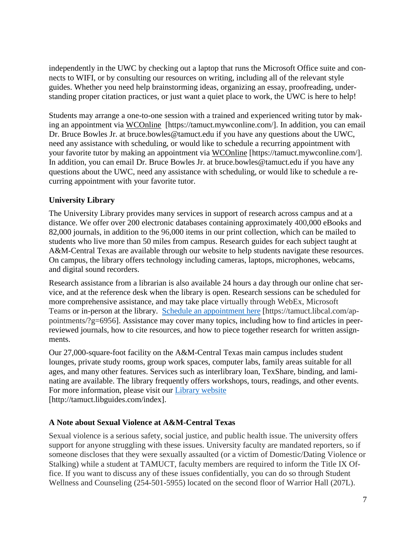independently in the UWC by checking out a laptop that runs the Microsoft Office suite and connects to WIFI, or by consulting our resources on writing, including all of the relevant style guides. Whether you need help brainstorming ideas, organizing an essay, proofreading, understanding proper citation practices, or just want a quiet place to work, the UWC is here to help!

Students may arrange a one-to-one session with a trained and experienced writing tutor by making an appointment via [WCOnline](https://tamuct.mywconline.com/) [https://tamuct.mywconline.com/]. In addition, you can email Dr. Bruce Bowles Jr. at bruce.bowles@tamuct.edu if you have any questions about the UWC, need any assistance with scheduling, or would like to schedule a recurring appointment with your favorite tutor by making an appointment via [WCOnline](https://tamuct.mywconline.com/) [https://tamuct.mywconline.com/]. In addition, you can email Dr. Bruce Bowles Jr. at bruce.bowles@tamuct.edu if you have any questions about the UWC, need any assistance with scheduling, or would like to schedule a recurring appointment with your favorite tutor.

## **University Library**

The University Library provides many services in support of research across campus and at a distance. We offer over 200 electronic databases containing approximately 400,000 eBooks and 82,000 journals, in addition to the 96,000 items in our print collection, which can be mailed to students who live more than 50 miles from campus. Research guides for each subject taught at A&M-Central Texas are available through our website to help students navigate these resources. On campus, the library offers technology including cameras, laptops, microphones, webcams, and digital sound recorders.

Research assistance from a librarian is also available 24 hours a day through our online chat service, and at the reference desk when the library is open. Research sessions can be scheduled for more comprehensive assistance, and may take place virtually through WebEx, Microsoft Teams or in-person at the library. Schedule an [appointment](https://nam04.safelinks.protection.outlook.com/?url=https%3A%2F%2Ftamuct.libcal.com%2Fappointments%2F%3Fg%3D6956&data=04%7C01%7Clisa.bunkowski%40tamuct.edu%7Cde2c07d9f5804f09518008d9ab7ba6ff%7C9eed4e3000f744849ff193ad8005acec%7C0%7C0%7C637729369835011558%7CUnknown%7CTWFpbGZsb3d8eyJWIjoiMC4wLjAwMDAiLCJQIjoiV2luMzIiLCJBTiI6Ik1haWwiLCJXVCI6Mn0%3D%7C3000&sdata=KhtjgRSAw9aq%2FoBsB6wyu8b7PSuGN5EGPypzr3Ty2No%3D&reserved=0) here [https://tamuct.libcal.com/appointments/?g=6956]. Assistance may cover many topics, including how to find articles in peerreviewed journals, how to cite resources, and how to piece together research for written assignments.

Our 27,000-square-foot facility on the A&M-Central Texas main campus includes student lounges, private study rooms, group work spaces, computer labs, family areas suitable for all ages, and many other features. Services such as interlibrary loan, TexShare, binding, and laminating are available. The library frequently offers workshops, tours, readings, and other events. For more information, please visit our Library [website](https://nam04.safelinks.protection.outlook.com/?url=https%3A%2F%2Ftamuct.libguides.com%2Findex&data=04%7C01%7Clisa.bunkowski%40tamuct.edu%7C7d8489e8839a4915335f08d916f067f2%7C9eed4e3000f744849ff193ad8005acec%7C0%7C0%7C637566044056484222%7CUnknown%7CTWFpbGZsb3d8eyJWIjoiMC4wLjAwMDAiLCJQIjoiV2luMzIiLCJBTiI6Ik1haWwiLCJXVCI6Mn0%3D%7C1000&sdata=2R755V6rcIyedGrd4Os5rkgn1PvhHKU3kUV1vBKiHFo%3D&reserved=0) [http://tamuct.libguides.com/index].

## **A Note about Sexual Violence at A&M-Central Texas**

Sexual violence is a serious safety, social justice, and public health issue. The university offers support for anyone struggling with these issues. University faculty are mandated reporters, so if someone discloses that they were sexually assaulted (or a victim of Domestic/Dating Violence or Stalking) while a student at TAMUCT, faculty members are required to inform the Title IX Office. If you want to discuss any of these issues confidentially, you can do so through Student Wellness and Counseling (254-501-5955) located on the second floor of Warrior Hall (207L).